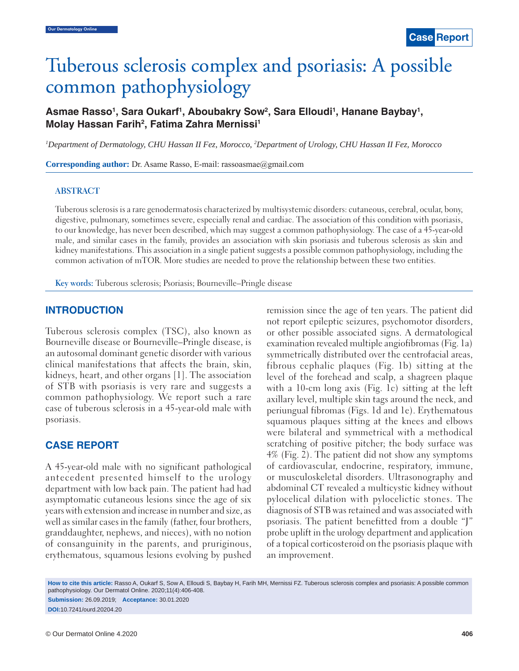# Tuberous sclerosis complex and psoriasis: A possible common pathophysiology

Asmae Rasso<sup>1</sup>, Sara Oukarf<sup>1</sup>, Aboubakry Sow<sup>2</sup>, Sara Elloudi<sup>1</sup>, Hanane Baybay<sup>1</sup>, **Molay Hassan Farih2 , Fatima Zahra Mernissi1**

*1 Department of Dermatology, CHU Hassan II Fez, Morocco, 2 Department of Urology, CHU Hassan II Fez, Morocco*

**Corresponding author:** Dr. Asame Rasso, E-mail: rassoasmae@gmail.com

### **ABSTRACT**

Tuberous sclerosis is a rare genodermatosis characterized by multisystemic disorders: cutaneous, cerebral, ocular, bony, digestive, pulmonary, sometimes severe, especially renal and cardiac. The association of this condition with psoriasis, to our knowledge, has never been described, which may suggest a common pathophysiology. The case of a 45-year-old male, and similar cases in the family, provides an association with skin psoriasis and tuberous sclerosis as skin and kidney manifestations. This association in a single patient suggests a possible common pathophysiology, including the common activation of mTOR. More studies are needed to prove the relationship between these two entities.

**Key words:** Tuberous sclerosis; Psoriasis; Bourneville–Pringle disease

## **INTRODUCTION**

Tuberous sclerosis complex (TSC), also known as Bourneville disease or Bourneville–Pringle disease, is an autosomal dominant genetic disorder with various clinical manifestations that affects the brain, skin, kidneys, heart, and other organs [1]. The association of STB with psoriasis is very rare and suggests a common pathophysiology. We report such a rare case of tuberous sclerosis in a 45-year-old male with psoriasis.

## **CASE REPORT**

A 45-year-old male with no significant pathological antecedent presented himself to the urology department with low back pain. The patient had had asymptomatic cutaneous lesions since the age of six years with extension and increase in number and size, as well as similar cases in the family (father, four brothers, granddaughter, nephews, and nieces), with no notion of consanguinity in the parents, and pruriginous, erythematous, squamous lesions evolving by pushed remission since the age of ten years. The patient did not report epileptic seizures, psychomotor disorders, or other possible associated signs. A dermatological examination revealed multiple angiofibromas (Fig. 1a) symmetrically distributed over the centrofacial areas, fibrous cephalic plaques (Fig. 1b) sitting at the level of the forehead and scalp, a shagreen plaque with a 10-cm long axis (Fig. 1c) sitting at the left axillary level, multiple skin tags around the neck, and periungual fibromas (Figs. 1d and 1e). Erythematous squamous plaques sitting at the knees and elbows were bilateral and symmetrical with a methodical scratching of positive pitcher; the body surface was 4% (Fig. 2). The patient did not show any symptoms of cardiovascular, endocrine, respiratory, immune, or musculoskeletal disorders. Ultrasonography and abdominal CT revealed a multicystic kidney without pylocelical dilation with pylocelictic stones. The diagnosis of STB was retained and was associated with psoriasis. The patient benefitted from a double "J" probe uplift in the urology department and application of a topical corticosteroid on the psoriasis plaque with an improvement.

**How to cite this article:** Rasso A, Oukarf S, Sow A, Elloudi S, Baybay H, Farih MH, Mernissi FZ. Tuberous sclerosis complex and psoriasis: A possible common pathophysiology. Our Dermatol Online. 2020;11(4):406-408. **Submission:** 26.09.2019; **Acceptance:** 30.01.2020

**DOI:**10.7241/ourd.20204.20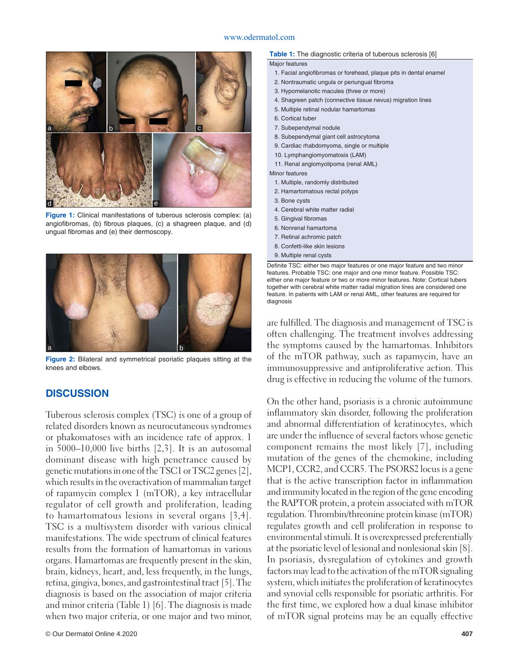#### www.odermatol.com



**Figure 1:** Clinical manifestations of tuberous sclerosis complex: (a) angiofibromas, (b) fibrous plaques, (c) a shagreen plaque, and (d) ungual fibromas and (e) their dermoscopy.



**Figure 2:** Bilateral and symmetrical psoriatic plaques sitting at the knees and elbows.

## **DISCUSSION**

Tuberous sclerosis complex (TSC) is one of a group of related disorders known as neurocutaneous syndromes or phakomatoses with an incidence rate of approx. 1 in 5000–10,000 live births [2,3]. It is an autosomal dominant disease with high penetrance caused by genetic mutations in one of the TSC1 or TSC2 genes [2], which results in the overactivation of mammalian target of rapamycin complex 1 (mTOR), a key intracellular regulator of cell growth and proliferation, leading to hamartomatous lesions in several organs [3,4]. TSC is a multisystem disorder with various clinical manifestations. The wide spectrum of clinical features results from the formation of hamartomas in various organs. Hamartomas are frequently present in the skin, brain, kidneys, heart, and, less frequently, in the lungs, retina, gingiva, bones, and gastrointestinal tract [5]. The diagnosis is based on the association of major criteria and minor criteria (Table 1) [6]. The diagnosis is made when two major criteria, or one major and two minor,

#### **Table 1:** The diagnostic criteria of tuberous sclerosis [6]

#### Major features

- 1. Facial angiofibromas or forehead, plaque pits in dental enamel
- 2. Nontraumatic ungula or periungual fibroma
- 3. Hypomelanotic macules (three or more)
- 4. Shagreen patch (connective tissue nevus) migration lines
- 5. Multiple retinal nodular hamartomas
- 6. Cortical tuber
- 7. Subependymal nodule
- 8. Subependymal giant cell astrocytoma
- 9. Cardiac rhabdomyoma, single or multiple
- 10. Lymphangiomyomatosis (LAM)
- 11. Renal angiomyolipoma (renal AML)

Minor features

- 1. Multiple, randomly distributed
- 2. Hamartomatous rectal polyps
- 3. Bone cysts
- 4. Cerebral white matter radial
- 5. Gingival fibromas
- 6. Nonrenal hamartoma
- 7. Retinal achromic patch
- 8. Confetti-like skin lesions
- 9. Multiple renal cysts

Definite TSC: either two major features or one major feature and two minor features. Probable TSC: one major and one minor feature. Possible TSC: either one major feature or two or more minor features. Note: Cortical tubers together with cerebral white matter radial migration lines are considered one feature. In patients with LAM or renal AML, other features are required for diagnosis

are fulfilled. The diagnosis and management of TSC is often challenging. The treatment involves addressing the symptoms caused by the hamartomas. Inhibitors of the mTOR pathway, such as rapamycin, have an immunosuppressive and antiproliferative action. This drug is effective in reducing the volume of the tumors.

On the other hand, psoriasis is a chronic autoimmune inflammatory skin disorder, following the proliferation and abnormal differentiation of keratinocytes, which are under the influence of several factors whose genetic component remains the most likely [7], including mutation of the genes of the chemokine, including MCP1, CCR2, and CCR5. The PSORS2 locus is a gene that is the active transcription factor in inflammation and immunity located in the region of the gene encoding the RAPTOR protein, a protein associated with mTOR regulation. Thrombin/threonine protein kinase (mTOR) regulates growth and cell proliferation in response to environmental stimuli. It is overexpressed preferentially at the psoriatic level of lesional and nonlesional skin [8]. In psoriasis, dysregulation of cytokines and growth factors may lead to the activation of the mTOR signaling system, which initiates the proliferation of keratinocytes and synovial cells responsible for psoriatic arthritis. For the first time, we explored how a dual kinase inhibitor of mTOR signal proteins may be an equally effective